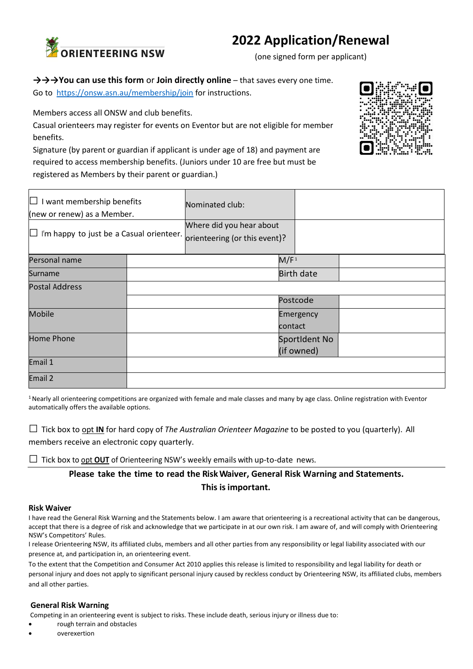# **2022 Application/Renewal**



(one signed form per applicant)

## **→→→You can use this form** or **Join directly online** – that saves every one time.

Go to <https://onsw.asn.au/membership/join> for instructions.

Members access all ONSW and club benefits.

Casual orienteers may register for events on Eventor but are not eligible for member benefits.

Signature (by parent or guardian if applicant is under age of 18) and payment are required to access membership benefits. (Juniors under 10 are free but must be registered as Members by their parent or guardian.)

| $\Box$ I want membership benefits<br>(new or renew) as a Member. |  | Nominated club:                                           |                   |               |  |
|------------------------------------------------------------------|--|-----------------------------------------------------------|-------------------|---------------|--|
| $\Box$ I'm happy to just be a Casual orienteer.                  |  | Where did you hear about<br>orienteering (or this event)? |                   |               |  |
| Personal name                                                    |  |                                                           | M/F <sup>1</sup>  |               |  |
| Surname                                                          |  |                                                           | <b>Birth date</b> |               |  |
| <b>Postal Address</b>                                            |  |                                                           |                   |               |  |
|                                                                  |  |                                                           | Postcode          |               |  |
| <b>Mobile</b>                                                    |  |                                                           | Emergency         |               |  |
|                                                                  |  |                                                           | contact           |               |  |
| <b>Home Phone</b>                                                |  |                                                           |                   | SportIdent No |  |
|                                                                  |  |                                                           | (if owned)        |               |  |
| Email 1                                                          |  |                                                           |                   |               |  |
| Email 2                                                          |  |                                                           |                   |               |  |

<sup>1</sup> Nearly all orienteering competitions are organized with female and male classes and many by age class. Online registration with Eventor automatically offers the available options.

**□** Tick box to opt **IN** for hard copy of *The Australian Orienteer Magazine* to be posted to you (quarterly). All

members receive an electronic copy quarterly.

**□** Tick box to opt **OUT** of Orienteering NSW's weekly emails with up-to-date news.

**Please take the time to read the RiskWaiver, General Risk Warning and Statements. This isimportant.**

#### **Risk Waiver**

I have read the General Risk Warning and the Statements below. I am aware that orienteering is a recreational activity that can be dangerous, accept that there is a degree of risk and acknowledge that we participate in at our own risk. I am aware of, and will comply with Orienteering NSW's Competitors' Rules.

I release Orienteering NSW, its affiliated clubs, members and all other parties from any responsibility or legal liability associated with our presence at, and participation in, an orienteering event.

To the extent that the Competition and Consumer Act 2010 applies this release is limited to responsibility and legal liability for death or personal injury and does not apply to significant personal injury caused by reckless conduct by Orienteering NSW, its affiliated clubs, members and all other parties.

#### **General Risk Warning**

Competing in an orienteering event is subject to risks. These include death, serious injury or illness due to:

- rough terrain and obstacles
- overexertion